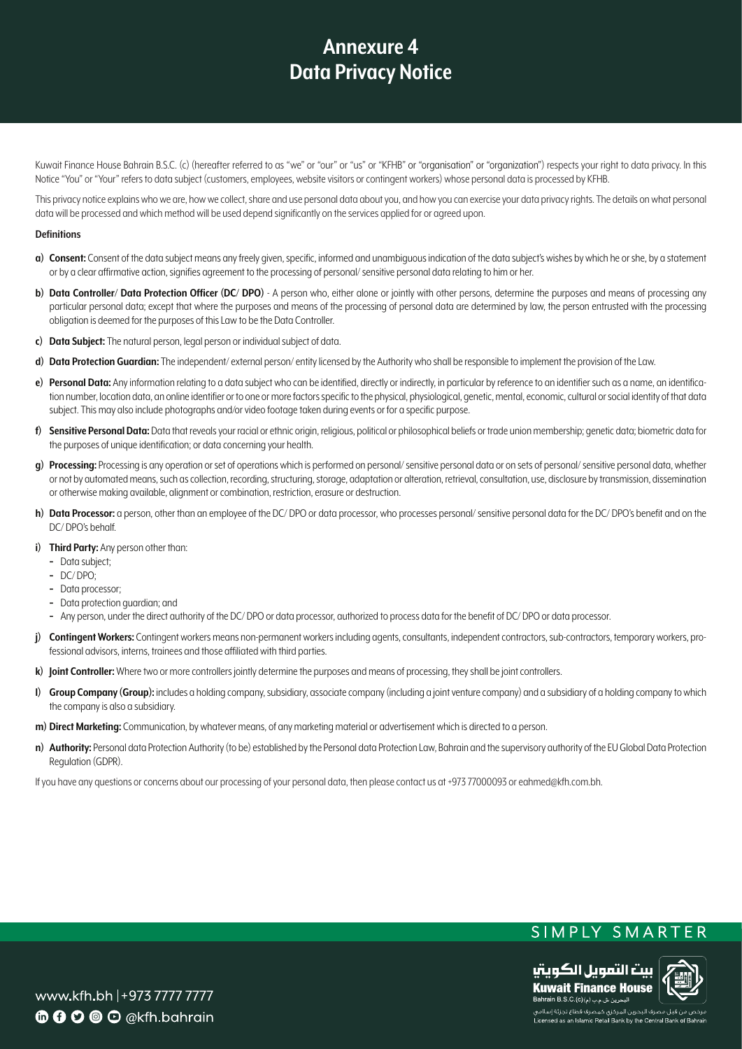Kuwait Finance House Bahrain B.S.C. (c) (hereafter referred to as "we" or "our" or "us" or "KFHB" or "organisation" or "organization") respects your right to data privacy. In this Notice "You" or "Your" refers to data subject (customers, employees, website visitors or contingent workers) whose personal data is processed by KFHB.

This privacy notice explains who we are, how we collect, share and use personal data about you, and how you can exercise your data privacy rights. The details on what personal data will be processed and which method will be used depend significantly on the services applied for or gareed upon.

#### **Definitions**

- **a)** Consent: Consent of the data subject means any freely given, specific, informed and unambiguous indication of the data subject's wishes by which he or she, by a statement or by a clear affirmative action, signifies agreement to the processing of personal/ sensitive personal data relating to him or her.
- b) Data Controller/ Data Protection Officer (DC/ DPO) A person who, either alone or jointly with other persons, determine the purposes and means of processing any particular personal data; except that where the purposes and means of the processing of personal data are determined by law, the person entrusted with the processing obligation is deemed for the purposes of this Law to be the Data Controller.
- $c)$  **Data Subject:** The natural person, legal person or individual subject of data.
- d) Data Protection Guardian: The independent/external person/entity licensed by the Authority who shall be responsible to implement the provision of the Law.
- tion number, location data, an online identifier or to one or more factors specific to the physical, physiological, genetic, mental, economic, cultural or social identity of that data e) Personal Data: Any information relating to a data subject who can be identified, directly or indirectly, in particular by reference to an identifier such as a name, an identificasubject. This may also include photographs and/or video footage taken during events or for a specific purpose.
- f) Sensitive Personal Data: Data that reveals your racial or ethnic origin, religious, political or philosophical beliefs or trade union membership: genetic data: biometric data for the purposes of unique identification; or data concerning your health.
- g) Processing: Processing is any operation or set of operations which is performed on personal/ sensitive personal data or on sets of personal/ sensitive personal data, whether or not by automated means, such as collection, recording, structuring, storage, adaptation or alteration, retrieval, consultation, use, disclosure by transmission, dissemination or otherwise making available, alignment or combination, restriction, erasure or destruction.
- h) Data Processor: a person, other than an employee of the DC/DPO or data processor, who processes personal/ sensitive personal data for the DC/DPO's benefit and on the DC/DPO's behalf.
- i) Third Party: Any person other than:
	- Data subject;
	- $-$  DC/DPO;
	- Data processor;
	- Data protection quardian; and
	- Any person, under the direct authority of the DC/DPO or data processor, authorized to process data for the benefit of DC/DPO or data processor.
- j) Contingent Workers: Contingent workers means non-permanent workers including agents, consultants, independent contractors, sub-contractors, temporary workers, pro-<br>fessional advisors, interns, trainees and those affilia
- k) **Joint Controller:** Where two or more controllers jointly determine the purposes and means of processing, they shall be joint controllers.
- **I)** Group Company (Group): includes a holding company, subsidiary, associate company (including a ioint venture company) and a subsidiary of a holding company to which the company is also a subsidiary.
- $m$ ) Direct Marketing: Communication, by whatever means, of any marketing material or advertisement which is directed to a person.
- n) **Authority:** Personal data Protection Authority (to be) established by the Personal data Protection Law, Bahrain and the supervisory authority of the EU Global Data Protection Regulation (GDPR).

If you have any questions or concerns about our processing of your personal data, then please contact us at +973 77000093 or eahmed@kfh.com.bh.

# SIMPLY SMARTER



Licensed as an Islamic Retail Bank by the Central Bank of Bahra

www.kfh.bh |+973 7777 7777 **6000** O @kfh.bahrain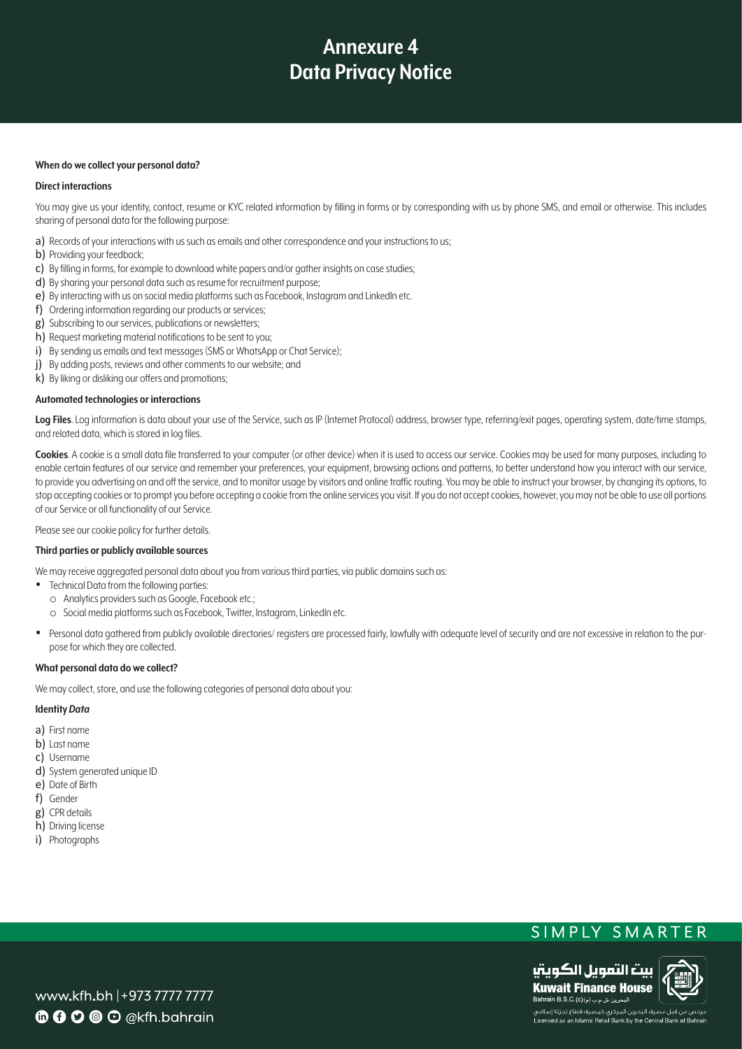## **When do we collect your personal data?**

#### **Direct interactions**

You may aive us your identity, contact, resume or KYC related information by filling in forms or by corresponding with us by phone SMS, and email or otherwise. This includes sharing of personal data for the following purpose:

- a) Records of your interactions with us such as emails and other correspondence and your instructions to us;
- b) Providing your feedback;
- c) By filling in forms, for example to download white papers and/or gather insights on case studies;
- d) By sharing your personal data such as resume for recruitment purpose:
- e) By interacting with us on social media platforms such as Facebook, Instagram and LinkedIn etc.
- f) Ordering information regarding our products or services;
- g) Subscribing to our services, publications or newsletters;
- h) Request marketing material notifications to be sent to you;
- i) By sending us emails and text messages (SMS or WhatsApp or Chat Service);
- i) By adding posts, reviews and other comments to our website; and
- k) By liking or disliking our offers and promotions;

#### **Automated technologies or interactions**

Log Files. Log information is data about your use of the Service, such as IP (Internet Protocol) address, browser type, referring/exit pages, operating system, date/time stamps, and related data, which is stored in log files.

Cookies. A cookie is a small data file transferred to your computer (or other device) when it is used to access our service. Cookies may be used for many purposes, including to enable certain features of our service and remember your preferences, your equipment, browsing actions and patterns, to better understand how you interact with our service, to provide you advertising on and off the service, and to monitor usage by visitors and online traffic routing. You may be able to instruct your browser, by changing its options, to stop accepting cookies or to prompt you before accepting a cookie from the online services you visit. If you do not accept cookies, however, you may not be able to use all portions of our Service or all functionality of our Service.

Please see our cookie policy for further details.

#### **Third parties or publicly available sources**

We may receive aggregated personal data about you from various third parties, via public domains such as:

- Technical Data from the following parties:
- $\circ$  Analytics providers such as Google, Facebook etc.;
- o Social media platforms such as Facebook, Twitter, Instagram, LinkedIn etc.
- Personal data gathered from publicly available directories/ registers are processed fairly, lawfully with adequate level of security and are not excessive in relation to the purpose for which they are collected.

#### **What personal data do we collect?**

We may collect, store, and use the following categories of personal data about you:

#### **Identity** Data

- a) First name
- b) Last name
- c) Username
- d) System generated unique ID
- e) Date of Birth
- f) Gender
- g) CPR details
- h) Driving license
- i) Photographs

# SIMPLY SMARTER



Licensed as an Islamic Retail Bank by the Central Bank of B

www.kfh.bh |+973 7777 7777 **6000** O @kfh.bahrain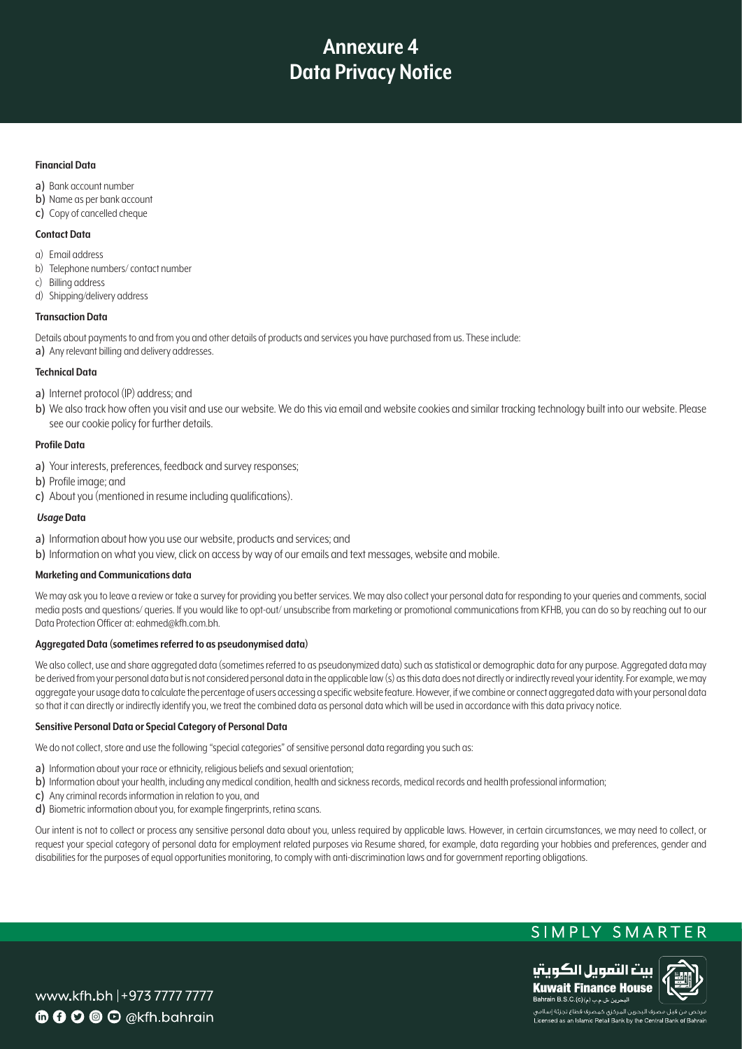## **Financial Data**

- a) Bank account number
- b) Name as per bank account
- c) Copy of cancelled cheque

# **Contact Data**

- a) Email address
- b) Telephone numbers/contact number
- c) Billing address
- d) Shipping/delivery address

# **Transaction** Data

Details about payments to and from you and other details of products and services you have purchased from us. These include: a) Any relevant billing and delivery addresses.

# **Technical Data**

- a) Internet protocol (IP) address; and
- b) We also track how often you visit and use our website. We do this via email and website cookies and similar tracking technology built into our website. Please see our cookie policy for further details.

# **Profile** Data

- a) Your interests, preferences, feedback and survey responses;
- b) Profile image; and
- c) About you (mentioned in resume including qualifications).

# *Usage* Data

- a) Information about how you use our website, products and services; and
- b) Information on what you view, click on access by way of our emails and text messages, website and mobile.

### **Marketing and Communications data**

We may ask you to leave a review or take a survey for providing you better services. We may also collect your personal data for responding to your queries and comments, social media posts and questions/ queries. If you would like to opt-out/ unsubscribe from marketing or promotional communications from KFHB, you can do so by reaching out to our Data Protection Officer at: eahmed@kfh.com.bh.

# Aggregated Data (sometimes referred to as pseudonymised data)

We also collect, use and share aggregated data (sometimes referred to as pseudonymized data) such as statistical or demographic data for any purpose. Aggregated data may be derived from your personal data but is not considered personal data in the applicable law (s) as this data does not directly or indirectly reveal your identity. For example, we may aggregate your usage data to calculate the percentage of users accessing a specific website feature. However, if we combine or connect aggregated data with your personal data so that it can directly or indirectly identify you, we treat the combined data as personal data which will be used in accordance with this data privacy notice.

### **Sensitive Personal Data or Special Category of Personal Data**

We do not collect, store and use the following "special categories" of sensitive personal data regarding you such as:

- a) Information about your race or ethnicity, religious beliefs and sexual orientation;
- b) Information about your health, including any medical condition, health and sickness records, medical records and health professional information:
- c) Any criminal records information in relation to you, and
- d) Biometric information about you, for example fingerprints, retina scans.

Our intent is not to collect or process any sensitive personal data about you, unless required by applicable laws. However, in certain circumstances, we may need to collect, or request your special category of personal data for employment related purposes via Resume shared, for example, data regarding your hobbies and preferences, gender and disabilities for the purposes of equal opportunities monitoring, to comply with anti-discrimination laws and for government reporting obligations.

# SIMPLY SMARTER



www.kfh.bh | + 973 7777 7777 **6000** O @kfh.bahrain

.<br>ص من قبل مصرف البحرين المركزى كمصرف قطاع تجزئة إسلامى Licensed as an Islamic Retail Bank by the Central Bank of E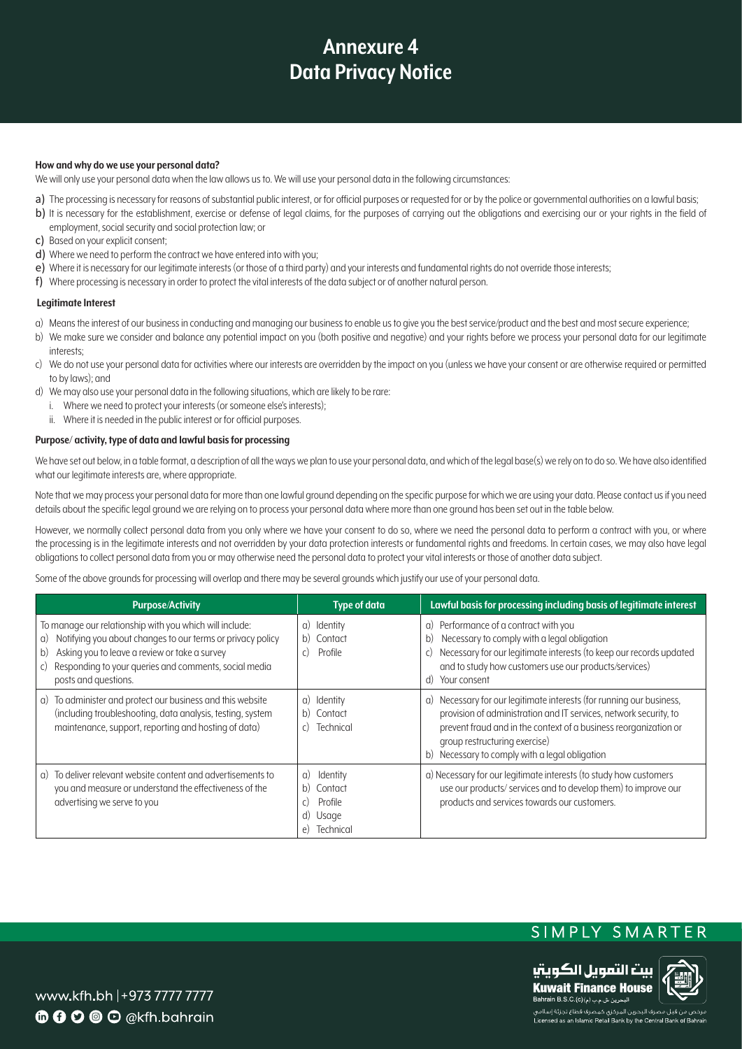#### How and why do we use your personal data?

We will only use your personal data when the law allows us to. We will use your personal data in the following circumstances:

- a) The processing is necessary for reasons of substantial public interest, or for official purposes or requested for or by the police or governmental authorities on a lawful basis;
- b) It is necessary for the establishment, exercise or defense of legal claims, for the purposes of carrying out the obligations and exercising our or your rights in the field of employment, social security and social protection law; or
- c) Based on your explicit consent;
- d) Where we need to perform the contract we have entered into with you;
- e) Where it is necessary for our legitimate interests (or those of a third party) and your interests and fundamental rights do not override those interests;
- f) Where processing is necessary in order to protect the vital interests of the data subject or of another natural person.

### **Legitimate Interest**

- a) Means the interest of our business in conducting and managing our business to enable us to give you the best service/product and the best and most secure experience;
- b) We make sure we consider and balance any potential impact on you (both positive and negative) and your rights before we process your personal data for our legitimate interests:
- c) We do not use your personal data for activities where our interests are overridden by the impact on you (unless we have your consent or are otherwise required or permitted to by laws); and
- d) We may also use your personal data in the following situations, which are likely to be rare:
	- i. Where we need to protect your interests (or someone else's interests):
	- ii. Where it is needed in the public interest or for official purposes.

### Purpose/activity, type of data and lawful basis for processing

We have set out below, in a table format, a description of all the ways we plan to use your personal data, and which of the legal base(s) we rely on to do so. We have also identified what our legitimate interests are, where appropriate.

Note that we may process your personal data for more than one lawful ground depending on the specific purpose for which we are using your data. Please contact us if you need details about the specific legal ground we are relying on to process your personal data where more than one ground has been set out in the table below.

However, we normally collect personal data from you only where we have your consent to do so, where we need the personal data to perform a contract with you, or where the processing is in the legitimate interests and not overridden by your data protection interests or fundamental rights and freedoms. In certain cases, we may also have legal obligations to collect personal data from you or may otherwise need the personal data to protect your vital interests or those of another data subject.

Some of the above grounds for processing will overlap and there may be several grounds which justify our use of your personal data.

| <b>Purpose/Activity</b>                                                                                                                                                                                                                                                   | <b>Type of data</b>                                                                | Lawful basis for processing including basis of legitimate interest                                                                                                                                                                                                                               |
|---------------------------------------------------------------------------------------------------------------------------------------------------------------------------------------------------------------------------------------------------------------------------|------------------------------------------------------------------------------------|--------------------------------------------------------------------------------------------------------------------------------------------------------------------------------------------------------------------------------------------------------------------------------------------------|
| To manage our relationship with you which will include:<br>Notifying you about changes to our terms or privacy policy<br>a)<br>Asking you to leave a review or take a survey<br>b)<br>Responding to your queries and comments, social media<br>C)<br>posts and questions. | Identity<br>a)<br>b) Contact<br>c)<br>Profile                                      | a) Performance of a contract with you<br>Necessary to comply with a legal obligation<br>b)<br>c) Necessary for our legitimate interests (to keep our records updated<br>and to study how customers use our products/services)<br>d) Your consent                                                 |
| a) To administer and protect our business and this website<br>(including troubleshooting, data analysis, testing, system<br>maintenance, support, reporting and hosting of data)                                                                                          | a) Identity<br>b) Contact<br>Technical<br>C)                                       | a) Necessary for our legitimate interests (for running our business,<br>provision of administration and IT services, network security, to<br>prevent fraud and in the context of a business reorganization or<br>group restructuring exercise)<br>b) Necessary to comply with a legal obligation |
| a) To deliver relevant website content and advertisements to<br>you and measure or understand the effectiveness of the<br>advertising we serve to you                                                                                                                     | Identity<br>a)<br>Contact<br>b)<br>Profile<br>C)<br>d)<br>Usage<br>Technical<br>e) | a) Necessary for our legitimate interests (to study how customers<br>use our products/ services and to develop them) to improve our<br>products and services towards our customers.                                                                                                              |

# SIMPLY SMARTER



www.kfh.bh |+973 7777 7777 **6000** O @kfh.bahrain

.<br>مرخص من قبل مصرف البحرين المركزى كمصرف قطاع تجزئة إسلامى Licensed as an Islamic Retail Bank by the Central Bank of B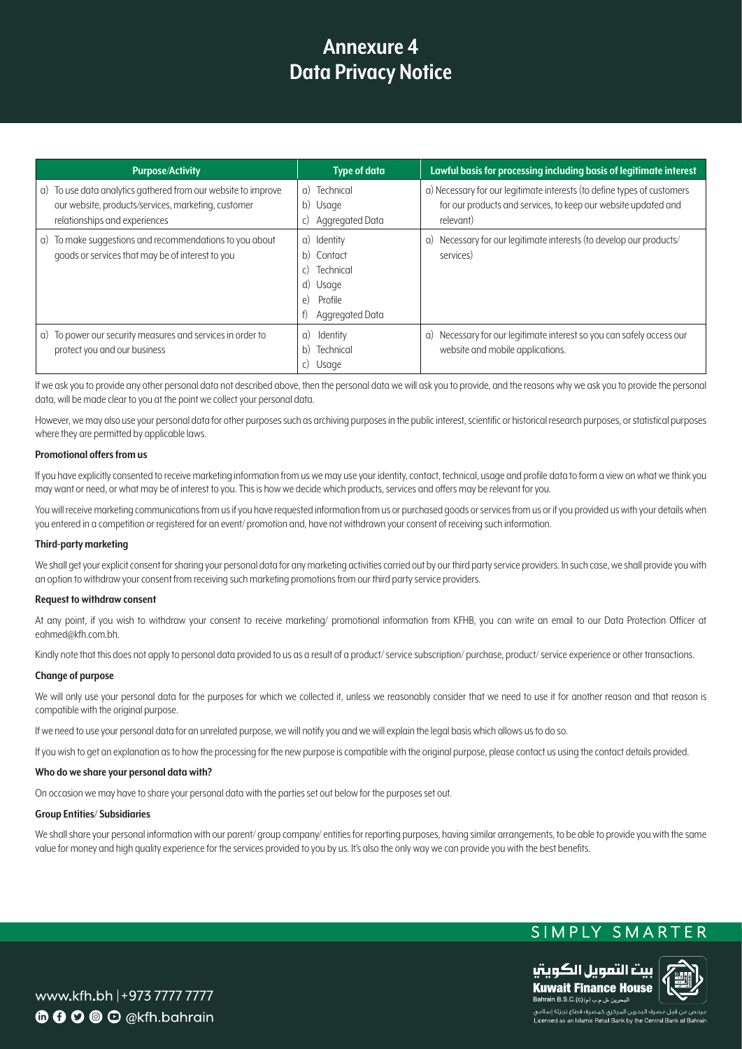| <b>Purpose/Activity</b>                                                                                                                               | <b>Type of data</b>                                                                          | Lawful basis for processing including basis of legitimate interest                                                                                     |
|-------------------------------------------------------------------------------------------------------------------------------------------------------|----------------------------------------------------------------------------------------------|--------------------------------------------------------------------------------------------------------------------------------------------------------|
| a) To use data analytics gathered from our website to improve<br>our website, products/services, marketing, customer<br>relationships and experiences | Technical<br>$\alpha$ )<br>b) Usage<br>Aggregated Data<br>C)                                 | a) Necessary for our legitimate interests (to define types of customers<br>for our products and services, to keep our website updated and<br>relevant) |
| To make suggestions and recommendations to you about<br>G)<br>goods or services that may be of interest to you                                        | a) Identity<br>b) Contact<br>Technical<br>C)<br>d) Usage<br>Profile<br>e)<br>Aggregated Data | a) Necessary for our legitimate interests (to develop our products/<br>services)                                                                       |
| a) To power our security measures and services in order to<br>protect you and our business                                                            | Identity<br>G)<br>Technical<br>b)<br>Usage<br>C)                                             | a) Necessary for our legitimate interest so you can safely access our<br>website and mobile applications.                                              |

If we ask you to provide any other personal data not described above, then the personal data we will ask you to provide, and the reasons why we ask you to provide the personal data, will be made clear to you at the point we collect your personal data.

However, we may also use your personal data for other purposes such as archiving purposes in the public interest, scientific or historical research purposes, or statistical purposes where they are permitted by applicable laws.

#### **Promotional offers from us**

If you have explicitly consented to receive marketing information from us we may use your identity, contact, technical, usage and profile data to form a view on what we think you may want or need, or what may be of interest to you. This is how we decide which products, services and offers may be relevant for you.

You will receive marketing communications from us if you have requested information from us or purchased goods or services from us or if you provided us with your details when you entered in a competition or registered for an event/promotion and, have not withdrawn your consent of receiving such information.

#### **Third-party marketing**

We shall get your explicit consent for sharing your personal data for any marketing activities carried out by our third party service providers. In such case, we shall provide you with an option to withdraw your consent from receiving such marketing promotions from our third party service providers.

#### **Request to withdraw consent**

At any point, if you wish to withdraw your consent to receive marketing/ promotional information from KFHB, you can write an email to our Data Protection Officer at eahmed@kfh.com.bh.

Kindly note that this does not apply to personal data provided to us as a result of a product/service subscription/purchase, product/service experience or other transactions.

#### **Change of purpose**

We will only use your personal data for the purposes for which we collected it, unless we reasonably consider that we need to use it for another reason and that reason is compatible with the original purpose.

If we need to use your personal data for an unrelated purpose, we will notify you and we will explain the leagl basis which allows us to do so.

If you wish to get an explanation as to how the processing for the new purpose is compatible with the original purpose, please contact us using the contact details provided.

#### **Who do we share your personal data with?**

On occasion we may have to share your personal data with the parties set out below for the purposes set out.

#### **Group Entities/ Subsidiaries**

We shall share your personal information with our parent/group company/entities for reporting purposes, having similar arrangements, to be able to provide you with the same value for money and high quality experience for the services provided to you by us. It's also the only way we can provide you with the best benefits.

# SIMPLY SMARTER



www.kfh.bh | + 973 7777 7777 **6000** O @kfh.bahrain

.<br>مرخص من قبل مصرف البحرين المركزى كمصرف قطاع تجزئة إسلامى Licensed as an Islamic Retail Bank by the Central Bank of Bahr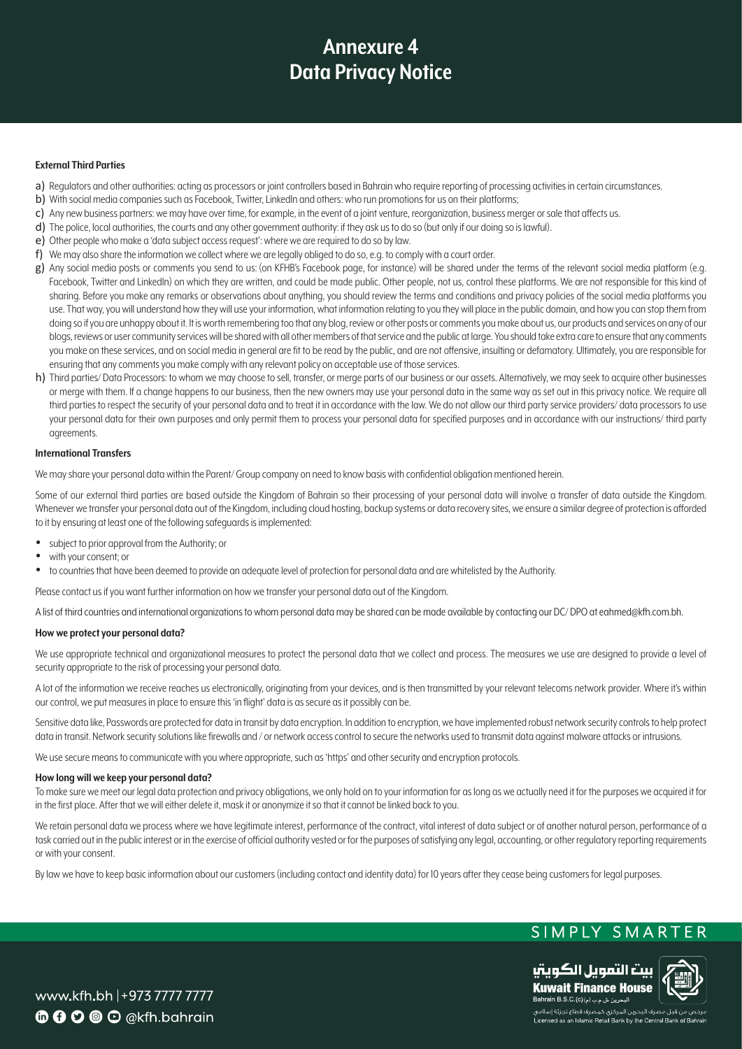## **External Third Parties**

- a) Requlators and other authorities: acting as processors or joint controllers based in Bahrain who require reporting of processing activities in certain circumstances.
- b) With social media companies such as Facebook. Twitter, LinkedIn and others: who run promotions for us on their platforms:
- c) Any new business partners: we may have over time, for example, in the event of a joint venture, reorganization, business merger or sale that affects us.
- d) The police, local authorities, the courts and any other government authority: if they ask us to do so (but only if our doing so is lawful).
- e) Other people who make a 'data subject access request': where we are required to do so by law.
- f) We may also share the information we collect where we are legally obliged to do so, e.g. to comply with a court order.
- g) Any social media posts or comments you send to us: (on KFHB's Facebook page, for instance) will be shared under the terms of the relevant social media platform (e.g. Facebook, Twitter and Linkedln) on which they are written, and could be made public. Other people, not us, control these platforms. We are not responsible for this kind of sharing. Before you make any remarks or observations about anything, you should review the terms and conditions and privacy policies of the social media platforms you use. That way, you will understand how they will use your information, what information relating to you they will place in the public domain, and how you can stop them from doing so if you are unhappy about it. It is worth remembering too that any blog, review or other posts or comments you make about us, our products and services on any of our blogs, reviews or user community services will be shared with all other members of that service and the public at large. You should take extra care to ensure that any comments you make on these services, and on social media in general are fit to be read by the public, and are not offensive, insulting or defamatory. Ultimately, you are responsible for ensuring that any comments you make comply with any relevant policy on acceptable use of those services.
- h) Third parties/Data Processors: to whom we may choose to sell, transfer, or merge parts of our business or our assets. Alternatively, we may seek to acquire other businesses or merge with them. If a change happens to our business, then the new owners may use your personal data in the same way as set out in this privacy notice. We require all third parties to respect the security of your personal data and to treat it in accordance with the law. We do not allow our third party service providers/ data processors to use your personal data for their own purposes and only permit them to process your personal data for specified purposes and in accordance with our instructions/third party .agreements

### **International Transfers**

We may share your personal data within the Parent/ Group company on need to know basis with confidential obligation mentioned herein.

Some of our external third parties are based outside the Kingdom of Bahrain so their processing of your personal data will involve a transfer of data outside the Kingdom. Whenever we transfer your personal data out of the Kingdom, including cloud hosting, backup systems or data recovery sites, we ensure a similar degree of protection is afforded to it by ensuring at least one of the following safeguards is implemented:

- subject to prior approval from the Authority; or
- with your consent: or
- to countries that have been deemed to provide an adequate level of protection for personal data and are whitelisted by the Authority.

Please contact us if you want further information on how we transfer your personal data out of the Kingdom.

A list of third countries and international organizations to whom personal data may be shared can be made available by contacting our DC/DPO at eahmed@kfh.com.bh.

## **How we protect your personal data?**

We use appropriate technical and organizational measures to protect the personal data that we collect and process. The measures we use are designed to provide a level of security appropriate to the risk of processing your personal data.

A lot of the information we receive reaches us electronically, originating from your devices, and is then transmitted by your relevant telecoms network provider. Where it's within our control, we put measures in place to ensure this 'in flight' data is as secure as it possibly can be.

Sensitive data like, Passwords are protected for data in transit by data encryption. In addition to encryption, we have implemented robust network security controls to help protect data in transit. Network security solutions like firewalls and / or network access control to secure the networks used to transmit data against malware attacks or intrusions.

We use secure means to communicate with you where appropriate, such as 'https' and other security and encryption protocols.

#### How long will we keep your personal data?

To make sure we meet our legal data protection and privacy obligations, we only hold on to your information for as long as we actually need it for the purposes we acquired it for in the first place. After that we will either delete it, mask it or anonymize it so that it cannot be linked back to you.

We retain personal data we process where we have leaitimate interest, performance of the contract, vital interest of data subject or of another natural person, performance of a task carried out in the public interest or in the exercise of official authority vested or for the purposes of satisfying any legal, accounting, or other regulatory reporting requirements or with your consent.

By law we have to keep basic information about our customers (including contact and identity data) for 10 years after they cease being customers for legal purposes.

# SIMPLY SMARTER



Licensed as an Islamic Retail Bank by the Central Bank of Bahra

www.kfh.bh | + 973 7777 7777  $\mathbf{\Phi}$   $\mathbf{\Omega}$   $\mathbf{\Omega}$   $\mathbf{\Theta}$   $\mathbf{\Omega}$   $\alpha$ kfh.bahrain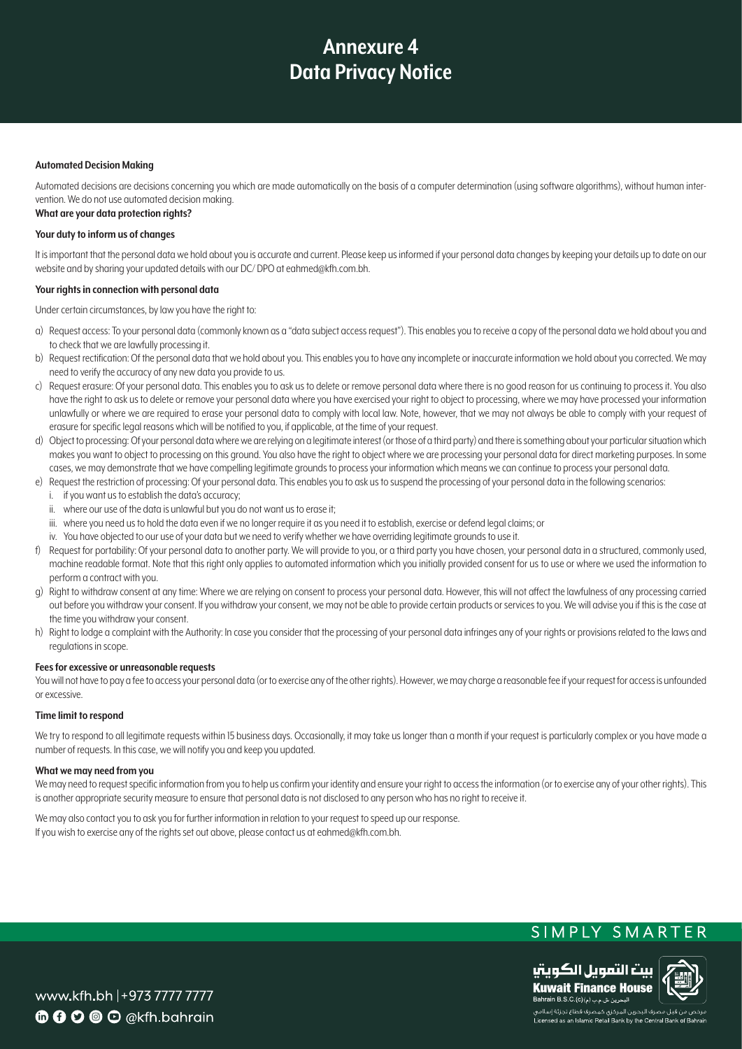### **Automated Decision Making**

Automated decisions are decisions concerning you which are made automatically on the basis of a computer determination (using software algorithms), without human inter-<br>vention. We do not use automated decision making.

# **What are your data protection rights?**

### **Your duty to inform us of changes**

It is important that the personal data we hold about you is accurate and current. Please keep us informed if your personal data changes by keeping your details up to date on our website and by sharing your updated details with our DC/DPO at eahmed@kfh.com.bh.

#### **Your rights in connection with personal data**

Under certain circumstances, by law you have the right to:

- a) Request access: To your personal data (commonly known as a "data subject access request"). This enables you to receive a copy of the personal data we hold about you and to check that we are lawfully processing it.
- b) Request rectification: Of the personal data that we hold about you. This enables you to have any incomplete or inaccurate information we hold about you corrected. We may need to verify the accuracy of any new data you provide to us.
- c) Request erasure: Of your personal data. This enables you to ask us to delete or remove personal data where there is no good reason for us continuing to process it. You also have the right to ask us to delete or remove your personal data where you have exercised your right to object to processing, where we may have processed your information unlawfully or where we are required to erase your personal data to comply with local law. Note, however, that we may not always be able to comply with your request of erasure for specific legal reasons which will be notified to you, if applicable, at the time of your request.
- d) Object to processing: Of your personal data where we are relying on a legitimate interest (or those of a third party) and there is something about your particular situation which makes you want to object to processing on this ground. You also have the right to object where we are processing your personal data for direct marketing purposes. In some cases, we may demonstrate that we have compelling legitimate grounds to process your information which means we can continue to process your personal data.
- e) Request the restriction of processing: Of your personal data. This enables you to ask us to suspend the processing of your personal data in the following scenarios:
- i. if you want us to establish the data's accuracy;
	- ii. where our use of the data is unlawful but you do not want us to erase it;
- iii. where you need us to hold the data even if we no longer require it as you need it to establish, exercise or defend legal claims; or
- iv. You have objected to our use of your data but we need to verify whether we have overriding legitimate grounds to use it.
- f) Request for portability: Of your personal data to another party. We will provide to you, or a third party you have chosen, your personal data in a structured, commonly used, machine readable format. Note that this right only applies to automated information which you initially provided consent for us to use or where we used the information to perform a contract with you.
- q) Right to withdraw consent at any time: Where we are relying on consent to process your personal data. However, this will not affect the lawfulness of any processing carried out before you withdraw your consent. If you withdraw your consent, we may not be able to provide certain products or services to you. We will advise you if this is the case at the time you withdraw your consent.
- h) Right to lodge a complaint with the Authority: In case you consider that the processing of your personal data infringes any of your rights or provisions related to the laws and regulations in scope.

#### **Fees for excessive or unreasonable requests**

You will not have to pay a fee to access your personal data (or to exercise any of the other rights). However, we may charge a reasonable fee if your request for access is unfounded .excessive or

#### **Time limit to respond**

We try to respond to all legitimate requests within 15 business days. Occasionally, it may take us longer than a month if your request is particularly complex or you have made a number of requests. In this case, we will notify you and keep you updated.

#### **What we may need from you**

We may need to request specific information from you to help us confirm your identity and ensure your right to access the information (or to exercise any of your other rights). This is another appropriate security measure to ensure that personal data is not disclosed to any person who has no right to receive it.

We may also contact you to ask you for further information in relation to your request to speed up our response. If you wish to exercise any of the rights set out above, please contact us at eahmed@kfh.com.bh.

# SIMPLY SMARTER



www.kfh.bh | + 973 7777 7777  $\mathbf{\Phi} \mathbf{\Theta} \mathbf{\Theta} \mathbf{\Theta} \mathbf{\Theta}$  @kfh.bahrain

.<br>مرخص من قبل مصرف البحرين المركزى كمصرف قطاع تجزئة إسلامى Licensed as an Islamic Retail Bank by the Central Bank of B